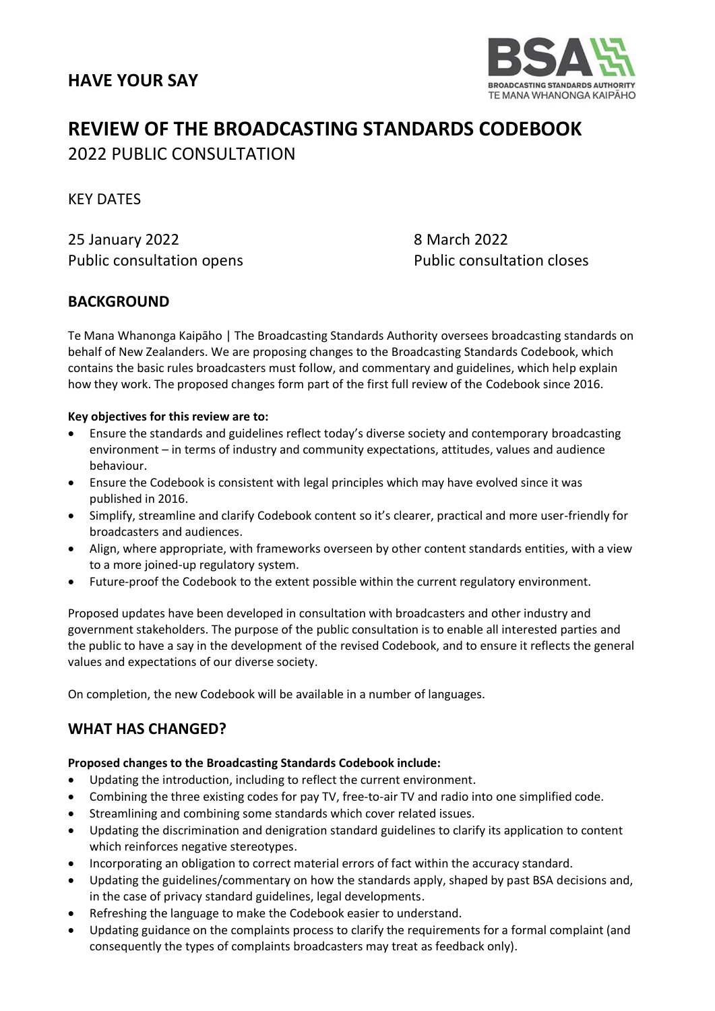

# **REVIEW OF THE BROADCASTING STANDARDS CODEBOOK** 2022 PUBLIC CONSULTATION

KEY DATES

25 January 2022 8 March 2022 Public consultation opens Public consultation closes

# **BACKGROUND**

Te Mana Whanonga Kaipāho | The Broadcasting Standards Authority oversees broadcasting standards on behalf of New Zealanders. We are proposing changes to the Broadcasting Standards Codebook, which contains the basic rules broadcasters must follow, and commentary and guidelines, which help explain how they work. The proposed changes form part of the first full review of the Codebook since 2016.

# **Key objectives for this review are to:**

- Ensure the standards and guidelines reflect today's diverse society and contemporary broadcasting environment – in terms of industry and community expectations, attitudes, values and audience behaviour.
- Ensure the Codebook is consistent with legal principles which may have evolved since it was published in 2016.
- Simplify, streamline and clarify Codebook content so it's clearer, practical and more user-friendly for broadcasters and audiences.
- Align, where appropriate, with frameworks overseen by other content standards entities, with a view to a more joined-up regulatory system.
- Future-proof the Codebook to the extent possible within the current regulatory environment.

Proposed updates have been developed in consultation with broadcasters and other industry and government stakeholders. The purpose of the public consultation is to enable all interested parties and the public to have a say in the development of the revised Codebook, and to ensure it reflects the general values and expectations of our diverse society.

On completion, the new Codebook will be available in a number of languages.

# **WHAT HAS CHANGED?**

# **Proposed changes to the Broadcasting Standards Codebook include:**

- Updating the introduction, including to reflect the current environment.
- Combining the three existing codes for pay TV, free-to-air TV and radio into one simplified code.
- Streamlining and combining some standards which cover related issues.
- Updating the discrimination and denigration standard guidelines to clarify its application to content which reinforces negative stereotypes.
- Incorporating an obligation to correct material errors of fact within the accuracy standard.
- Updating the guidelines/commentary on how the standards apply, shaped by past BSA decisions and, in the case of privacy standard guidelines, legal developments.
- Refreshing the language to make the Codebook easier to understand.
- Updating guidance on the complaints process to clarify the requirements for a formal complaint (and consequently the types of complaints broadcasters may treat as feedback only).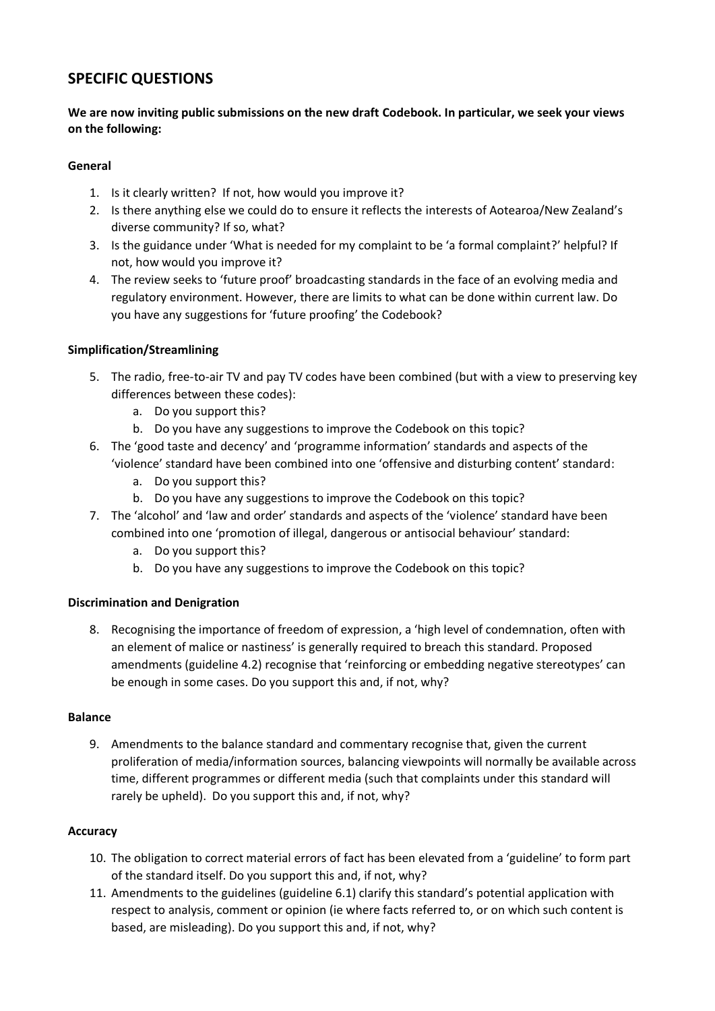# **SPECIFIC QUESTIONS**

# **We are now inviting public submissions on the new draft Codebook. In particular, we seek your views on the following:**

### **General**

- 1. Is it clearly written? If not, how would you improve it?
- 2. Is there anything else we could do to ensure it reflects the interests of Aotearoa/New Zealand's diverse community? If so, what?
- 3. Is the guidance under 'What is needed for my complaint to be 'a formal complaint?' helpful? If not, how would you improve it?
- 4. The review seeks to 'future proof' broadcasting standards in the face of an evolving media and regulatory environment. However, there are limits to what can be done within current law. Do you have any suggestions for 'future proofing' the Codebook?

# **Simplification/Streamlining**

- 5. The radio, free-to-air TV and pay TV codes have been combined (but with a view to preserving key differences between these codes):
	- a. Do you support this?
	- b. Do you have any suggestions to improve the Codebook on this topic?
- 6. The 'good taste and decency' and 'programme information' standards and aspects of the 'violence' standard have been combined into one 'offensive and disturbing content' standard:
	- a. Do you support this?
	- b. Do you have any suggestions to improve the Codebook on this topic?
- 7. The 'alcohol' and 'law and order' standards and aspects of the 'violence' standard have been combined into one 'promotion of illegal, dangerous or antisocial behaviour' standard:
	- a. Do you support this?
	- b. Do you have any suggestions to improve the Codebook on this topic?

# **Discrimination and Denigration**

8. Recognising the importance of freedom of expression, a 'high level of condemnation, often with an element of malice or nastiness' is generally required to breach this standard. Proposed amendments (guideline 4.2) recognise that 'reinforcing or embedding negative stereotypes' can be enough in some cases. Do you support this and, if not, why?

#### **Balance**

9. Amendments to the balance standard and commentary recognise that, given the current proliferation of media/information sources, balancing viewpoints will normally be available across time, different programmes or different media (such that complaints under this standard will rarely be upheld). Do you support this and, if not, why?

# **Accuracy**

- 10. The obligation to correct material errors of fact has been elevated from a 'guideline' to form part of the standard itself. Do you support this and, if not, why?
- 11. Amendments to the guidelines (guideline 6.1) clarify this standard's potential application with respect to analysis, comment or opinion (ie where facts referred to, or on which such content is based, are misleading). Do you support this and, if not, why?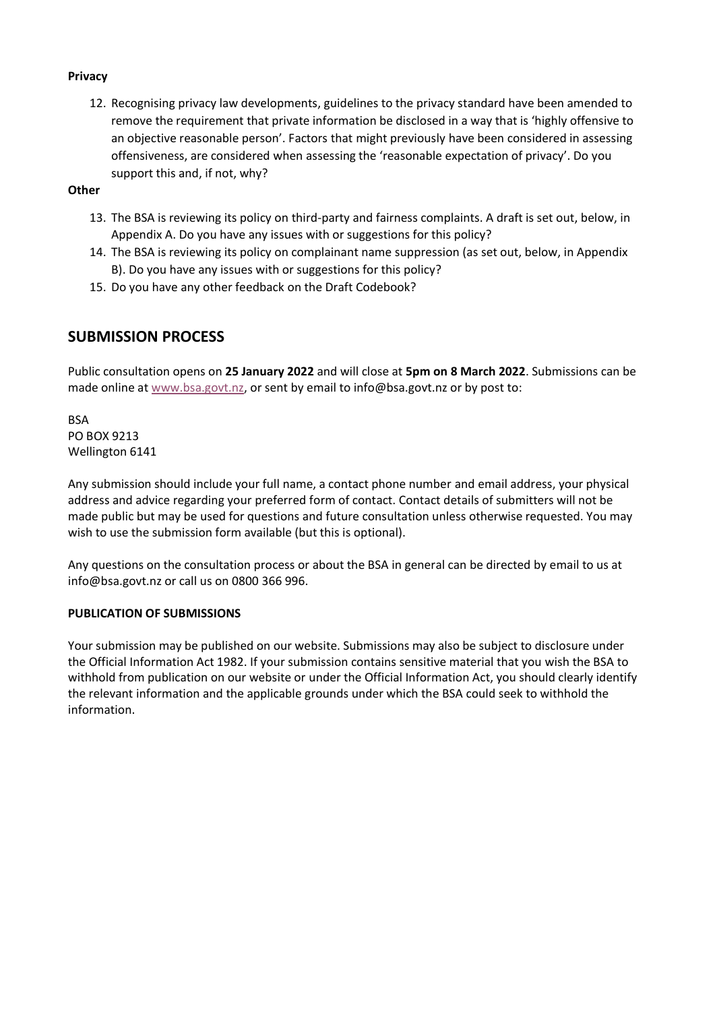#### **Privacy**

12. Recognising privacy law developments, guidelines to the privacy standard have been amended to remove the requirement that private information be disclosed in a way that is 'highly offensive to an objective reasonable person'. Factors that might previously have been considered in assessing offensiveness, are considered when assessing the 'reasonable expectation of privacy'. Do you support this and, if not, why?

**Other**

- 13. The BSA is reviewing its policy on third-party and fairness complaints. A draft is set out, below, in Appendix A. Do you have any issues with or suggestions for this policy?
- 14. The BSA is reviewing its policy on complainant name suppression (as set out, below, in Appendix B). Do you have any issues with or suggestions for this policy?
- 15. Do you have any other feedback on the Draft Codebook?

# **SUBMISSION PROCESS**

Public consultation opens on **25 January 2022** and will close at **5pm on 8 March 2022**. Submissions can be made online at [www.bsa.govt.nz,](https://www.bsa.govt.nz/code-review-consultation) or sent by email to info@bsa.govt.nz or by post to:

BSA PO BOX 9213 Wellington 6141

Any submission should include your full name, a contact phone number and email address, your physical address and advice regarding your preferred form of contact. Contact details of submitters will not be made public but may be used for questions and future consultation unless otherwise requested. You may wish to use the submission form available (but this is optional).

Any questions on the consultation process or about the BSA in general can be directed by email to us at info@bsa.govt.nz or call us on 0800 366 996.

#### **PUBLICATION OF SUBMISSIONS**

Your submission may be published on our website. Submissions may also be subject to disclosure under the Official Information Act 1982. If your submission contains sensitive material that you wish the BSA to withhold from publication on our website or under the Official Information Act, you should clearly identify the relevant information and the applicable grounds under which the BSA could seek to withhold the information.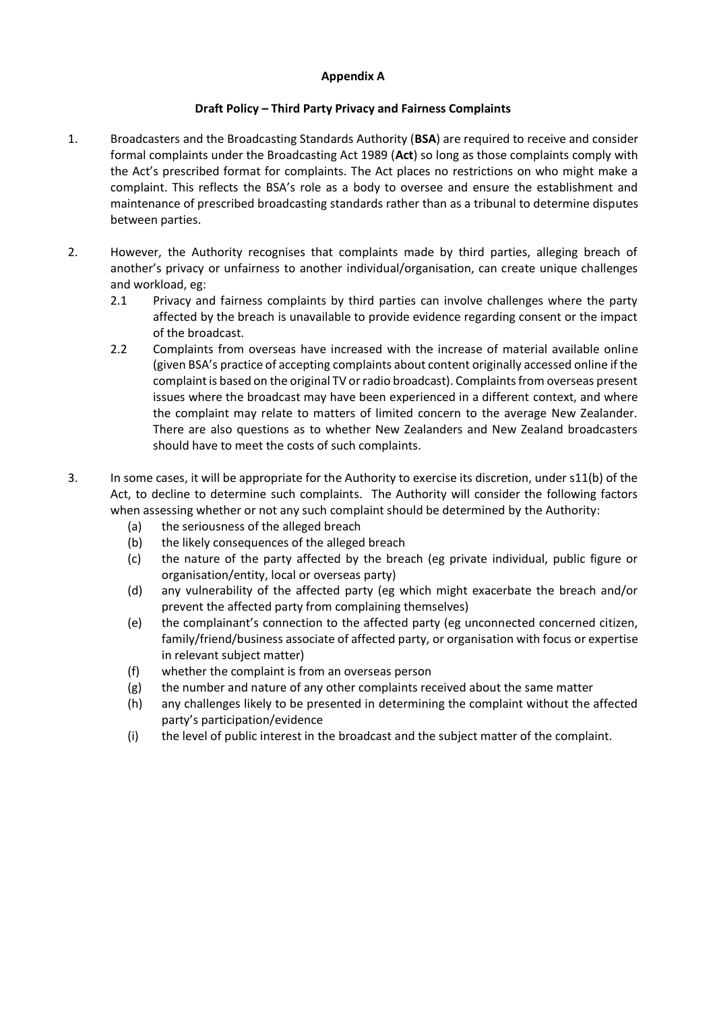### **Appendix A**

### **Draft Policy – Third Party Privacy and Fairness Complaints**

- 1. Broadcasters and the Broadcasting Standards Authority (**BSA**) are required to receive and consider formal complaints under the Broadcasting Act 1989 (**Act**) so long as those complaints comply with the Act's prescribed format for complaints. The Act places no restrictions on who might make a complaint. This reflects the BSA's role as a body to oversee and ensure the establishment and maintenance of prescribed broadcasting standards rather than as a tribunal to determine disputes between parties.
- 2. However, the Authority recognises that complaints made by third parties, alleging breach of another's privacy or unfairness to another individual/organisation, can create unique challenges and workload, eg:
	- 2.1 Privacy and fairness complaints by third parties can involve challenges where the party affected by the breach is unavailable to provide evidence regarding consent or the impact of the broadcast.
	- 2.2 Complaints from overseas have increased with the increase of material available online (given BSA's practice of accepting complaints about content originally accessed online if the complaint is based on the original TV or radio broadcast). Complaints from overseas present issues where the broadcast may have been experienced in a different context, and where the complaint may relate to matters of limited concern to the average New Zealander. There are also questions as to whether New Zealanders and New Zealand broadcasters should have to meet the costs of such complaints.
- 3. In some cases, it will be appropriate for the Authority to exercise its discretion, under s11(b) of the Act, to decline to determine such complaints. The Authority will consider the following factors when assessing whether or not any such complaint should be determined by the Authority:
	- (a) the seriousness of the alleged breach
	- (b) the likely consequences of the alleged breach
	- (c) the nature of the party affected by the breach (eg private individual, public figure or organisation/entity, local or overseas party)
	- (d) any vulnerability of the affected party (eg which might exacerbate the breach and/or prevent the affected party from complaining themselves)
	- (e) the complainant's connection to the affected party (eg unconnected concerned citizen, family/friend/business associate of affected party, or organisation with focus or expertise in relevant subject matter)
	- (f) whether the complaint is from an overseas person
	- (g) the number and nature of any other complaints received about the same matter
	- (h) any challenges likely to be presented in determining the complaint without the affected party's participation/evidence
	- (i) the level of public interest in the broadcast and the subject matter of the complaint.